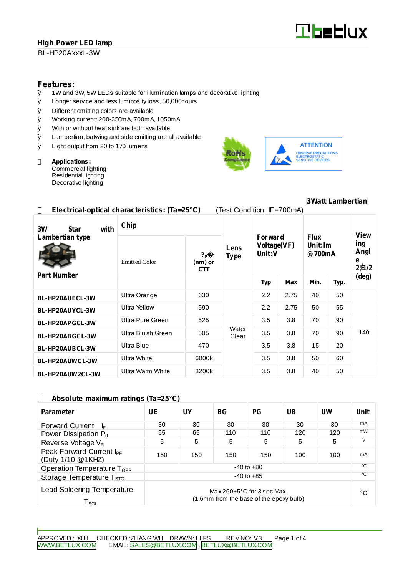# **High Power LED lamp**

BL-HP20AxxxL-3W



# **Features:**<br>0 1W and

- 1W and 3W, 5W LEDs suitable for illumination lamps and decorative lighting
- Ø Longer service and less luminosity loss, 50,000hours
- Ø Different emitting colors are available
- Ø Working current: 200-350mA, 700mA, 1050mA
- Ø With or without heat sink are both available
- Ø Lambertian, batwing and side emitting are all available
- Ø Light output from 20 to 170 lumens

#### **Applications:** Commercial lighting Residential lighting

Decorative lighting





#### **Electrical-optical characteristics: (Ta=25°C)** (Test Condition: IF=700mA) **Chip Forward Voltage(VF) Unit:V Flux Unit:lm @700mA 3W Star with Lambertian type Part Number** Emitted Color **?�<sup>P</sup> (nm) or CTT Lens Type Typ Max Min. Typ. View ing Angl e 2¦È1/2 (deg) BL-HP20AUECL-3W** Ultra Orange | 630 | 2.2 | 2.75 | 40 | 50 **BL-HP20AUYCL-3W** Ultra Yellow 590 2.2 2.75 50 55 **BL-HP20APGCL-3W** Ultra Pure Green | 525 | 3.5 | 3.8 | 70 | 90 **BL-HP20ABGCL-3W** Ultra Bluish Green  $\begin{array}{|c|c|c|c|c|c|c|c|c|} \hline \end{array}$  505  $\begin{array}{|c|c|c|c|c|c|c|c|} \hline \end{array}$  3.5  $\begin{array}{|c|c|c|c|c|c|} \hline \end{array}$  3.8  $\begin{array}{|c|c|c|c|c|} \hline \end{array}$  70 90 **BL-HP20AUBCL-3W** Ultra Blue | 470 | | 3.5 | 3.8 | 15 | 20 **BL-HP20AUWCL-3W** Ultra White 6000k 3.5 3.8 50 60 **BL-HP20AUW2CL-3W** Ultra Warm White | 3200k **Water** Clear 3.5 3.8 40 50 140

#### **Absolute maximum ratings (Ta=25°C)**

| Parameter                                                 | UE                                                                          | $\mathbf{I} \mathbf{N}$ | BG <sub>r</sub> | <b>PG</b> | UB  | UW  | Unit |
|-----------------------------------------------------------|-----------------------------------------------------------------------------|-------------------------|-----------------|-----------|-----|-----|------|
| <b>Forward Current</b>                                    | 30                                                                          | 30                      | 30              | 30        | 30  | 30  | mA   |
| Power Dissipation P <sub>d</sub>                          | 65                                                                          | 65                      | 110             | 110       | 120 | 120 | mW   |
| Reverse Voltage V <sub>R</sub>                            | 5                                                                           | 5                       | 5               | 5         | 5   | 5   |      |
| Peak Forward Current I <sub>PF</sub><br>(Duty 1/10 @1KHZ) | 150                                                                         | 150                     | 150             | 150       | 100 | 100 | mA   |
| Operation Temperature $T_{\text{OPR}}$                    | $-40$ to $+80$                                                              |                         |                 |           |     |     | ۰c   |
| Storage Temperature T <sub>STG</sub>                      | $-40$ to $+85$                                                              |                         |                 |           |     |     | °C   |
| <b>Lead Soldering Temperature</b><br>l sol                | Max.260 $\pm$ 5°C for 3 sec Max.<br>(1.6mm from the base of the epoxy bulb) |                         |                 |           |     |     | °C   |

# **3Watt Lambertian**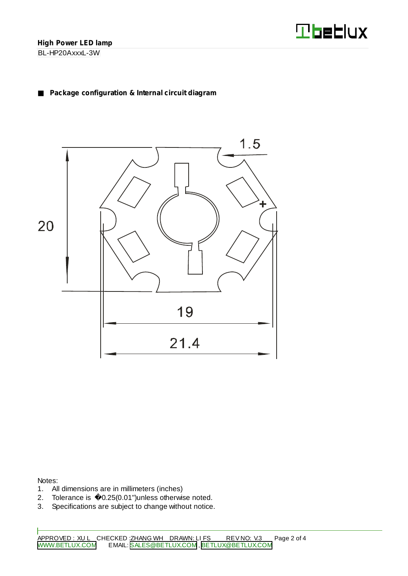

# **Package configuration & Internal circuit diagram**



Notes:

- 1. All dimensions are in millimeters (inches)
- 2. Tolerance is 0.25(0.01")unless otherwise noted.
- 3. Specifications are subject to change without notice.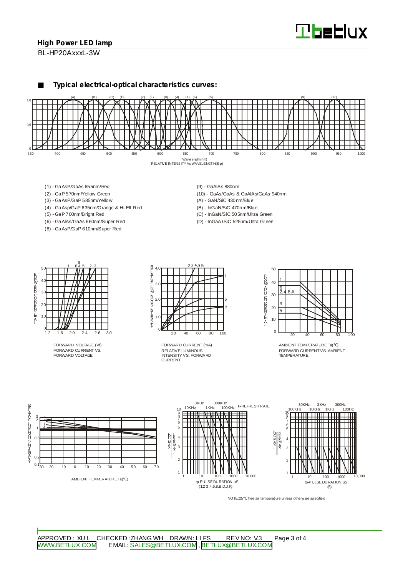### **High Power LED lamp**

BL-HP20AxxxL-3W

**Typical electrical-optical characteristics curves:**



- (1) GaAsP/GaAs 655nm/Red
- (2) GaP 570nm/Yellow Green
- (3) GaAsP/GaP 585nm/Yellow
- (4) GaAsp/GaP 635nm/Orange & Hi-Eff Red
- (5) GaP 700nm/Bright Red
- (6) GaAlAs/GaAs 660nm/Super Red
- (8) GaAsP/GaP 610nm/Super Red
- (9) GaAlAs 880nm
- (10) GaAs/GaAs & GaAlAs/GaAs 940nm
- (A) GaN/SiC 430nm/Blue
- (B) InGaN/SiC 470nm/Blue
- (C) InGaN/SiC 505nm/Ultra Green
- (D) InGaAl/SiC 525nm/Ultra Green



FORWARD VOLTAGE (Vf) FORWARD CURRENT VS. FORWARD VOLTAGE



RELATIVE LUMINOUS INTENSITY VS. FORWARD CURRENT FORWARD CURRENT (mA)



AMBIENT TEMPERATURE Ta( ) FORWARD CURRENTVS. AMBIENT TEMPERATURE



NOTE:25 free air temperature unless otherwise specified